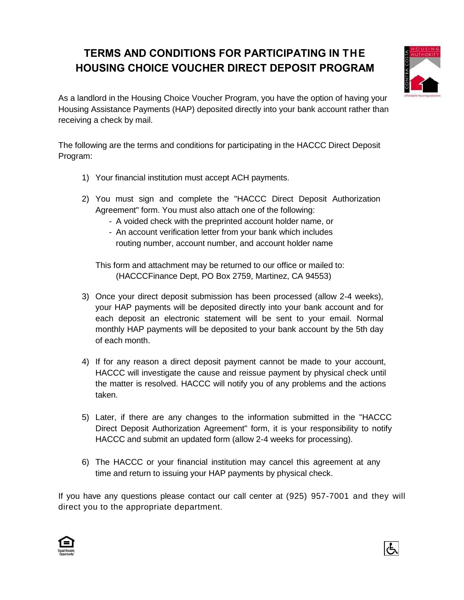## **TERMS AND CONDITIONS FOR PARTICIPATING IN THE HOUSING CHOICE VOUCHER DIRECT DEPOSIT PROGRAM**



As a landlord in the Housing Choice Voucher Program, you have the option of having your Housing Assistance Payments (HAP) deposited directly into your bank account rather than receiving a check by mail.

The following are the terms and conditions for participating in the HACCC Direct Deposit Program:

- 1) Your financial institution must accept ACH payments.
- 2) You must sign and complete the "HACCC Direct Deposit Authorization Agreement" form. You must also attach one of the following:
	- A voided check with the preprinted account holder name, or
	- An account verification letter from your bank which includes routing number, account number, and account holder name

 This form and attachment may be returned to our office or mailed to: (HACCCFinance Dept, PO Box 2759, Martinez, CA 94553)

- 3) Once your direct deposit submission has been processed (allow 2-4 weeks), your HAP payments will be deposited directly into your bank account and for each deposit an electronic statement will be sent to your email. Normal monthly HAP payments will be deposited to your bank account by the 5th day of each month.
- 4) If for any reason a direct deposit payment cannot be made to your account, HACCC will investigate the cause and reissue payment by physical check until the matter is resolved. HACCC will notify you of any problems and the actions taken.
- 5) Later, if there are any changes to the information submitted in the "HACCC Direct Deposit Authorization Agreement" form, it is your responsibility to notify HACCC and submit an updated form (allow 2-4 weeks for processing).
- 6) The HACCC or your financial institution may cancel this agreement at any time and return to issuing your HAP payments by physical check.

If you have any questions please contact our call center at (925) 957-7001 and they will direct you to the appropriate department.